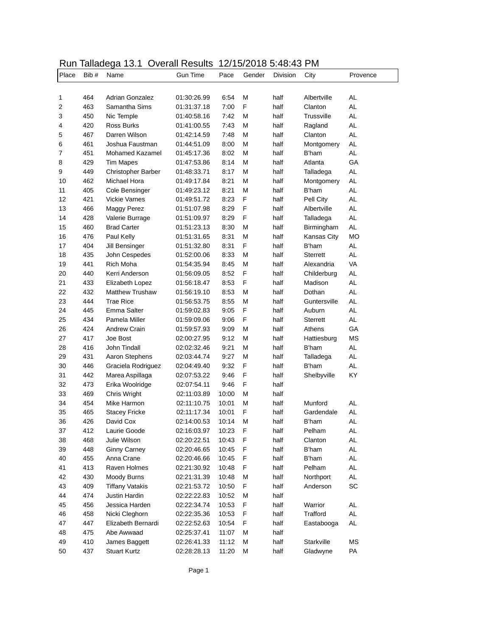## Run Talladega 13.1 Overall Results 12/15/2018 5:48:43 PM

| Place | Bib# | u<br>$\cdots$<br>Name  | <b>Gun Time</b> | Pace  | Gender | Division | City            | Provence  |
|-------|------|------------------------|-----------------|-------|--------|----------|-----------------|-----------|
|       |      |                        |                 |       |        |          |                 |           |
| 1     | 464  | <b>Adrian Gonzalez</b> | 01:30:26.99     | 6:54  | М      | half     | Albertville     | <b>AL</b> |
| 2     | 463  | Samantha Sims          | 01:31:37.18     | 7:00  | F      | half     | Clanton         | AL        |
| 3     | 450  | Nic Temple             | 01:40:58.16     | 7:42  | М      | half     | Trussville      | <b>AL</b> |
| 4     | 420  | <b>Ross Burks</b>      | 01:41:00.55     | 7:43  | М      | half     | Ragland         | AL        |
| 5     | 467  | Darren Wilson          | 01:42:14.59     | 7:48  | М      | half     | Clanton         | AL        |
| 6     | 461  | Joshua Faustman        | 01:44:51.09     | 8:00  | М      | half     | Montgomery      | AL        |
| 7     | 451  | <b>Mohamed Kazamel</b> | 01:45:17.36     | 8:02  | М      | half     | <b>B'ham</b>    | AL        |
| 8     | 429  | <b>Tim Mapes</b>       | 01:47:53.86     | 8:14  | M      | half     | Atlanta         | GA        |
| 9     | 449  | Christopher Barber     | 01:48:33.71     | 8:17  | М      | half     | Talladega       | <b>AL</b> |
| 10    | 462  | Michael Hora           | 01:49:17.84     | 8:21  | М      | half     | Montgomery      | <b>AL</b> |
| 11    | 405  | Cole Bensinger         | 01:49:23.12     | 8:21  | М      | half     | <b>B'ham</b>    | AL        |
| 12    | 421  | <b>Vickie Varnes</b>   | 01:49:51.72     | 8:23  | F      | half     | Pell City       | <b>AL</b> |
| 13    | 466  | Maggy Perez            | 01:51:07.98     | 8:29  | F      | half     | Albertville     | <b>AL</b> |
| 14    | 428  | Valerie Burrage        | 01:51:09.97     | 8:29  | F      | half     | Talladega       | <b>AL</b> |
| 15    | 460  | <b>Brad Carter</b>     | 01:51:23.13     | 8:30  | М      | half     | Birmingham      | <b>AL</b> |
| 16    | 476  | Paul Kelly             | 01:51:31.65     | 8:31  | М      | half     | Kansas City     | <b>MO</b> |
| 17    | 404  | Jill Bensinger         | 01:51:32.80     | 8:31  | F      | half     | B'ham           | AL        |
| 18    | 435  | John Cespedes          | 01:52:00.06     | 8:33  | М      | half     | <b>Sterrett</b> | AL        |
| 19    | 441  | Rich Moha              | 01:54:35.94     | 8:45  | М      | half     | Alexandria      | VA        |
| 20    | 440  | Kerri Anderson         | 01:56:09.05     | 8:52  | F      | half     | Childerburg     | <b>AL</b> |
| 21    | 433  | Elizabeth Lopez        | 01:56:18.47     | 8:53  | F      | half     | Madison         | <b>AL</b> |
| 22    | 432  | <b>Matthew Trushaw</b> | 01:56:19.10     | 8:53  | М      | half     | Dothan          | AL        |
| 23    | 444  | <b>Trae Rice</b>       | 01:56:53.75     | 8:55  | М      | half     | Guntersville    | AL        |
| 24    | 445  | Emma Salter            | 01:59:02.83     | 9:05  | F      | half     | Auburn          | AL        |
| 25    | 434  | Pamela Miller          | 01:59:09.06     | 9:06  | F      | half     | <b>Sterrett</b> | AL        |
| 26    | 424  | <b>Andrew Crain</b>    | 01:59:57.93     | 9:09  | М      | half     | Athens          | GA        |
| 27    | 417  | Joe Bost               | 02:00:27.95     | 9:12  | М      | half     | Hattiesburg     | <b>MS</b> |
| 28    | 416  | John Tindall           | 02:02:32.46     | 9:21  | М      | half     | <b>B'ham</b>    | <b>AL</b> |
| 29    | 431  | Aaron Stephens         | 02:03:44.74     | 9:27  | М      | half     | Talladega       | AL        |
| 30    | 446  | Graciela Rodriguez     | 02:04:49.40     | 9:32  | F      | half     | <b>B'ham</b>    | AL        |
| 31    | 442  | Marea Aspillaga        | 02:07:53.22     | 9:46  | F      | half     | Shelbyville     | KY        |
| 32    | 473  | Erika Woolridge        | 02:07:54.11     | 9:46  | F      | half     |                 |           |
| 33    | 469  | Chris Wright           | 02:11:03.89     | 10:00 | М      | half     |                 |           |
| 34    | 454  | Mike Harmon            | 02:11:10.75     | 10:01 | М      | half     | Munford         | <b>AL</b> |
| 35    | 465  | <b>Stacey Fricke</b>   | 02:11:17.34     | 10:01 | F      | half     | Gardendale      | <b>AL</b> |
| 36    | 426  | David Cox              | 02:14:00.53     | 10:14 | М      | half     | <b>B'ham</b>    | <b>AL</b> |
| 37    | 412  | Laurie Goode           | 02:16:03.97     | 10:23 | F      | half     | Pelham          | AL        |
| 38    | 468  | Julie Wilson           | 02:20:22.51     | 10:43 | F      | half     | Clanton         | AL        |
| 39    | 448  | <b>Ginny Carney</b>    | 02:20:46.65     | 10:45 | F      | half     | B'ham           | AL        |
| 40    | 455  | Anna Crane             | 02:20:46.66     | 10:45 | F      | half     | B'ham           | AL        |
| 41    | 413  | Raven Holmes           | 02:21:30.92     | 10:48 | F      | half     | Pelham          | AL        |
| 42    | 430  | Moody Burns            | 02:21:31.39     | 10:48 | М      | half     | Northport       | AL        |
| 43    | 409  | <b>Tiffany Vatakis</b> | 02:21:53.72     | 10:50 | F      | half     | Anderson        | SC        |
| 44    | 474  | Justin Hardin          | 02:22:22.83     | 10:52 | М      | half     |                 |           |
| 45    | 456  | Jessica Harden         | 02:22:34.74     | 10:53 | F      | half     | Warrior         | AL        |
| 46    | 458  | Nicki Cleghorn         | 02:22:35.36     | 10:53 | F      | half     | Trafford        | AL        |
| 47    | 447  | Elizabeth Bernardi     | 02:22:52.63     | 10:54 | F      | half     | Eastabooga      | AL        |
| 48    | 475  | Abe Awwaad             | 02:25:37.41     | 11:07 | М      | half     |                 |           |
| 49    | 410  | James Baggett          | 02:26:41.33     | 11:12 | М      | half     | Starkville      | MS        |
| 50    | 437  | <b>Stuart Kurtz</b>    | 02:28:28.13     | 11:20 | М      | half     | Gladwyne        | PA        |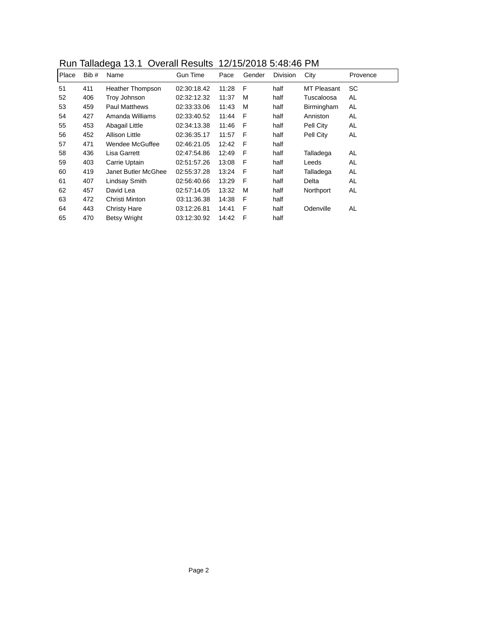| Run Talladega 13.1 Overall Results 12/15/2018 5:48:46 PM |  |
|----------------------------------------------------------|--|
|----------------------------------------------------------|--|

|       | $1\sqrt{a}$ . Turnature is the contract of the country in the contract of the contract of the contract of the contract of the contract of the contract of the contract of the contract of the contract of the contract of the co |                      |                 |       |        |                 |                    |          |  |  |
|-------|----------------------------------------------------------------------------------------------------------------------------------------------------------------------------------------------------------------------------------|----------------------|-----------------|-------|--------|-----------------|--------------------|----------|--|--|
| Place | Bib #                                                                                                                                                                                                                            | Name                 | <b>Gun Time</b> | Pace  | Gender | <b>Division</b> | City               | Provence |  |  |
| 51    | 411                                                                                                                                                                                                                              | Heather Thompson     | 02:30:18.42     | 11:28 | F      | half            | <b>MT Pleasant</b> | SC       |  |  |
| 52    | 406                                                                                                                                                                                                                              | Troy Johnson         | 02:32:12.32     | 11:37 | м      | half            | Tuscaloosa         | AL       |  |  |
| 53    | 459                                                                                                                                                                                                                              | <b>Paul Matthews</b> | 02:33:33.06     | 11:43 | м      | half            | Birmingham         | AL       |  |  |
| 54    | 427                                                                                                                                                                                                                              | Amanda Williams      | 02:33:40.52     | 11:44 | F      | half            | Anniston           | AL       |  |  |
| 55    | 453                                                                                                                                                                                                                              | Abagail Little       | 02:34:13.38     | 11:46 | F      | half            | Pell City          | AL       |  |  |
| 56    | 452                                                                                                                                                                                                                              | Allison Little       | 02:36:35.17     | 11:57 | F      | half            | Pell City          | AL       |  |  |
| 57    | 471                                                                                                                                                                                                                              | Wendee McGuffee      | 02:46:21.05     | 12:42 | F      | half            |                    |          |  |  |
| 58    | 436                                                                                                                                                                                                                              | Lisa Garrett         | 02:47:54.86     | 12:49 | F      | half            | Talladega          | AL       |  |  |
| 59    | 403                                                                                                                                                                                                                              | Carrie Uptain        | 02:51:57.26     | 13:08 | - F    | half            | Leeds              | AL       |  |  |
| 60    | 419                                                                                                                                                                                                                              | Janet Butler McGhee  | 02:55:37.28     | 13:24 | F      | half            | Talladega          | AL       |  |  |
| 61    | 407                                                                                                                                                                                                                              | Lindsay Smith        | 02:56:40.66     | 13:29 | F      | half            | Delta              | AL       |  |  |
| 62    | 457                                                                                                                                                                                                                              | David Lea            | 02:57:14.05     | 13:32 | м      | half            | Northport          | AL       |  |  |
| 63    | 472                                                                                                                                                                                                                              | Christi Minton       | 03:11:36.38     | 14:38 | F      | half            |                    |          |  |  |
| 64    | 443                                                                                                                                                                                                                              | Christy Hare         | 03:12:26.81     | 14:41 | F      | half            | Odenville          | AL       |  |  |
| 65    | 470                                                                                                                                                                                                                              | <b>Betsy Wright</b>  | 03:12:30.92     | 14:42 | F      | half            |                    |          |  |  |
|       |                                                                                                                                                                                                                                  |                      |                 |       |        |                 |                    |          |  |  |